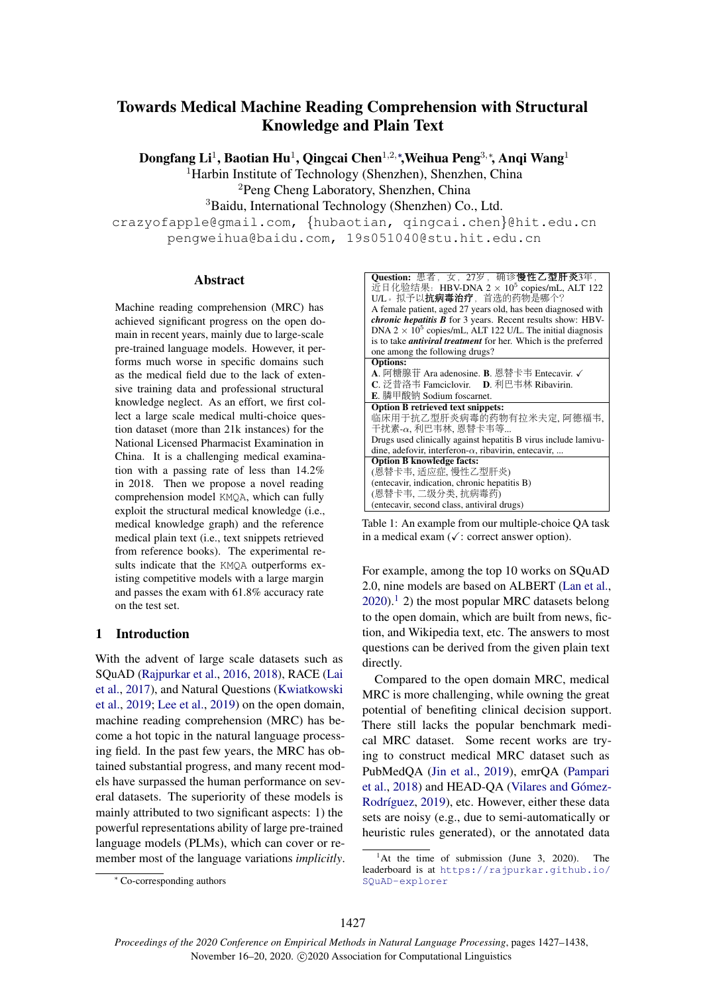# Towards Medical Machine Reading Comprehension with Structural Knowledge and Plain Text

Dongfang Li<sup>1</sup>, Baotian Hu<sup>1</sup>, Qingcai Chen<sup>1,2,</sup>\*,Weihua Peng<sup>3,</sup>\*, Anqi Wang<sup>1</sup>

<sup>1</sup>Harbin Institute of Technology (Shenzhen), Shenzhen, China

<sup>2</sup>Peng Cheng Laboratory, Shenzhen, China

<sup>3</sup>Baidu, International Technology (Shenzhen) Co., Ltd.

crazyofapple@gmail.com, *{*hubaotian, qingcai.chen*}*@hit.edu.cn pengweihua@baidu.com, 19s051040@stu.hit.edu.cn

#### Abstract

Machine reading comprehension (MRC) has achieved significant progress on the open domain in recent years, mainly due to large-scale pre-trained language models. However, it performs much worse in specific domains such as the medical field due to the lack of extensive training data and professional structural knowledge neglect. As an effort, we first collect a large scale medical multi-choice question dataset (more than 21k instances) for the National Licensed Pharmacist Examination in China. It is a challenging medical examination with a passing rate of less than 14.2% in 2018. Then we propose a novel reading comprehension model KMQA, which can fully exploit the structural medical knowledge (i.e., medical knowledge graph) and the reference medical plain text (i.e., text snippets retrieved from reference books). The experimental results indicate that the KMQA outperforms existing competitive models with a large margin and passes the exam with 61.8% accuracy rate on the test set.

## 1 Introduction

With the advent of large scale datasets such as SQuAD (Rajpurkar et al., 2016, 2018), RACE (Lai et al., 2017), and Natural Questions (Kwiatkowski et al., 2019; Lee et al., 2019) on the open domain, machine reading comprehension (MRC) has become a hot topic in the natural language processing field. In the past few years, the MRC has obtained substantial progress, and many recent models have surpassed the human performance on several datasets. The superiority of these models is mainly attributed to two significant aspects: 1) the powerful representations ability of large pre-trained language models (PLMs), which can cover or remember most of the language variations *implicitly*.

| Ouestion: 患者, 女, 27岁, 确诊慢性乙型肝炎3年,                                            |
|------------------------------------------------------------------------------|
| 近日化验结果: HBV-DNA $2 \times 10^5$ copies/mL, ALT 122                           |
| U/L。拟予以 <b>抗病毒治疗</b> ,首选的药物是哪个?                                              |
| A female patient, aged 27 years old, has been diagnosed with                 |
| <i>chronic hepatitis</i> $B$ for 3 years. Recent results show: HBV-          |
| DNA 2 $\times$ 10 <sup>5</sup> copies/mL, ALT 122 U/L. The initial diagnosis |
| is to take <i>antiviral treatment</i> for her. Which is the preferred        |
| one among the following drugs?                                               |
| <b>Options:</b>                                                              |
| A. 阿糖腺苷 Ara adenosine. B. 恩替卡韦 Entecavir. √                                  |
| <b>C</b> . 泛昔洛韦 Famciclovir. D. 利巴韦林 Ribavirin.                              |
| <b>E.</b> 膦甲酸钠 Sodium foscarnet.                                             |
| <b>Option B retrieved text snippets:</b>                                     |
| 临床用于抗乙型肝炎病毒的药物有拉米夫定, 阿德福韦,                                                   |
| 干扰素- $\alpha$ , 利巴韦林, 恩替卡韦等                                                  |
| Drugs used clinically against hepatitis B virus include lamivu-              |
| dine, adefovir, interferon- $\alpha$ , ribavirin, entecavir,                 |
| <b>Option B knowledge facts:</b>                                             |
| (恩替卡韦, 适应症, 慢性乙型肝炎)                                                          |
| (entecavir, indication, chronic hepatitis B)                                 |
| (恩替卡韦,二级分类,抗病毒药)                                                             |
| (entecavir, second class, antiviral drugs)                                   |

Table 1: An example from our multiple-choice QA task in a medical exam  $(\checkmark)$ : correct answer option).

For example, among the top 10 works on SQuAD 2.0, nine models are based on ALBERT (Lan et al.,  $2020$ .<sup>1</sup> 2) the most popular MRC datasets belong to the open domain, which are built from news, fiction, and Wikipedia text, etc. The answers to most questions can be derived from the given plain text directly.

Compared to the open domain MRC, medical MRC is more challenging, while owning the great potential of benefiting clinical decision support. There still lacks the popular benchmark medical MRC dataset. Some recent works are trying to construct medical MRC dataset such as PubMedQA (Jin et al., 2019), emrQA (Pampari et al., 2018) and HEAD-QA (Vilares and Gómez-Rodríguez, 2019), etc. However, either these data sets are noisy (e.g., due to semi-automatically or heuristic rules generated), or the annotated data

<sup>⇤</sup> Co-corresponding authors

 ${}^{1}$ At the time of submission (June 3, 2020). The leaderboard is at https://rajpurkar.github.io/ SQuAD-explorer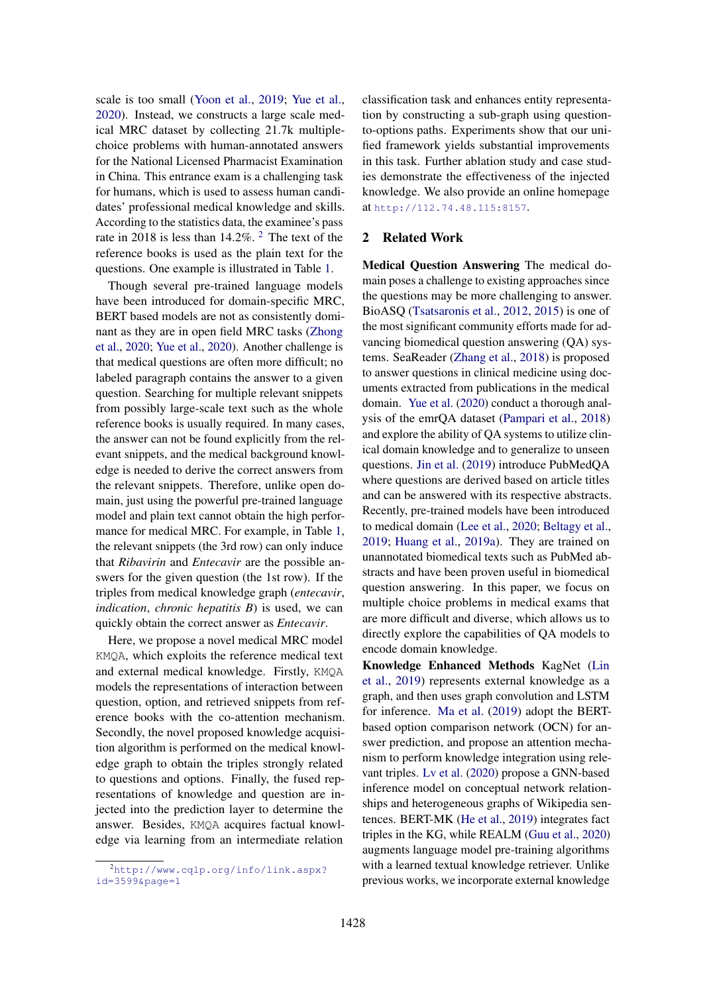scale is too small (Yoon et al., 2019; Yue et al., 2020). Instead, we constructs a large scale medical MRC dataset by collecting 21.7k multiplechoice problems with human-annotated answers for the National Licensed Pharmacist Examination in China. This entrance exam is a challenging task for humans, which is used to assess human candidates' professional medical knowledge and skills. According to the statistics data, the examinee's pass rate in 2018 is less than  $14.2\%$ . <sup>2</sup> The text of the reference books is used as the plain text for the questions. One example is illustrated in Table 1.

Though several pre-trained language models have been introduced for domain-specific MRC, BERT based models are not as consistently dominant as they are in open field MRC tasks (Zhong et al., 2020; Yue et al., 2020). Another challenge is that medical questions are often more difficult; no labeled paragraph contains the answer to a given question. Searching for multiple relevant snippets from possibly large-scale text such as the whole reference books is usually required. In many cases, the answer can not be found explicitly from the relevant snippets, and the medical background knowledge is needed to derive the correct answers from the relevant snippets. Therefore, unlike open domain, just using the powerful pre-trained language model and plain text cannot obtain the high performance for medical MRC. For example, in Table 1, the relevant snippets (the 3rd row) can only induce that *Ribavirin* and *Entecavir* are the possible answers for the given question (the 1st row). If the triples from medical knowledge graph (*entecavir*, *indication*, *chronic hepatitis B*) is used, we can quickly obtain the correct answer as *Entecavir*.

Here, we propose a novel medical MRC model KMQA, which exploits the reference medical text and external medical knowledge. Firstly, KMQA models the representations of interaction between question, option, and retrieved snippets from reference books with the co-attention mechanism. Secondly, the novel proposed knowledge acquisition algorithm is performed on the medical knowledge graph to obtain the triples strongly related to questions and options. Finally, the fused representations of knowledge and question are injected into the prediction layer to determine the answer. Besides, KMQA acquires factual knowledge via learning from an intermediate relation

classification task and enhances entity representation by constructing a sub-graph using questionto-options paths. Experiments show that our unified framework yields substantial improvements in this task. Further ablation study and case studies demonstrate the effectiveness of the injected knowledge. We also provide an online homepage at http://112.74.48.115:8157.

## 2 Related Work

Medical Question Answering The medical domain poses a challenge to existing approaches since the questions may be more challenging to answer. BioASQ (Tsatsaronis et al., 2012, 2015) is one of the most significant community efforts made for advancing biomedical question answering (QA) systems. SeaReader (Zhang et al., 2018) is proposed to answer questions in clinical medicine using documents extracted from publications in the medical domain. Yue et al. (2020) conduct a thorough analysis of the emrQA dataset (Pampari et al., 2018) and explore the ability of QA systems to utilize clinical domain knowledge and to generalize to unseen questions. Jin et al. (2019) introduce PubMedQA where questions are derived based on article titles and can be answered with its respective abstracts. Recently, pre-trained models have been introduced to medical domain (Lee et al., 2020; Beltagy et al., 2019; Huang et al., 2019a). They are trained on unannotated biomedical texts such as PubMed abstracts and have been proven useful in biomedical question answering. In this paper, we focus on multiple choice problems in medical exams that are more difficult and diverse, which allows us to directly explore the capabilities of QA models to encode domain knowledge.

Knowledge Enhanced Methods KagNet (Lin et al., 2019) represents external knowledge as a graph, and then uses graph convolution and LSTM for inference. Ma et al. (2019) adopt the BERTbased option comparison network (OCN) for answer prediction, and propose an attention mechanism to perform knowledge integration using relevant triples. Lv et al. (2020) propose a GNN-based inference model on conceptual network relationships and heterogeneous graphs of Wikipedia sentences. BERT-MK (He et al., 2019) integrates fact triples in the KG, while REALM (Guu et al., 2020) augments language model pre-training algorithms with a learned textual knowledge retriever. Unlike previous works, we incorporate external knowledge

<sup>2</sup> http://www.cqlp.org/info/link.aspx? id=3599&page=1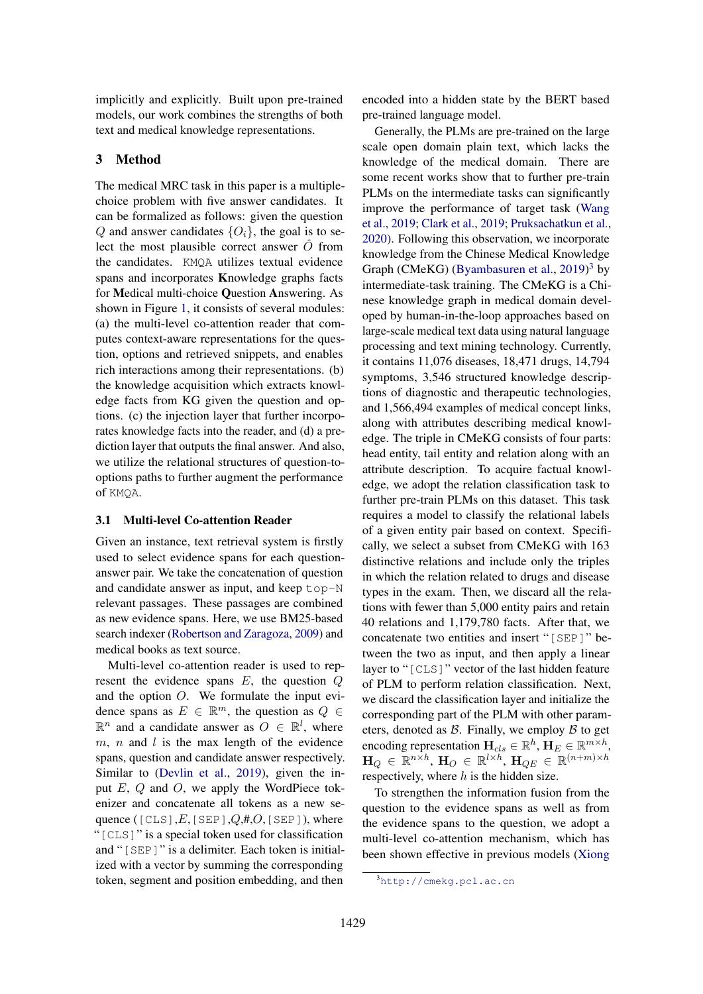implicitly and explicitly. Built upon pre-trained models, our work combines the strengths of both text and medical knowledge representations.

### 3 Method

The medical MRC task in this paper is a multiplechoice problem with five answer candidates. It can be formalized as follows: given the question *Q* and answer candidates  $\{O_i\}$ , the goal is to select the most plausible correct answer  $\hat{O}$  from the candidates. KMQA utilizes textual evidence spans and incorporates Knowledge graphs facts for Medical multi-choice Question Answering. As shown in Figure 1, it consists of several modules: (a) the multi-level co-attention reader that computes context-aware representations for the question, options and retrieved snippets, and enables rich interactions among their representations. (b) the knowledge acquisition which extracts knowledge facts from KG given the question and options. (c) the injection layer that further incorporates knowledge facts into the reader, and (d) a prediction layer that outputs the final answer. And also, we utilize the relational structures of question-tooptions paths to further augment the performance of KMQA.

#### 3.1 Multi-level Co-attention Reader

Given an instance, text retrieval system is firstly used to select evidence spans for each questionanswer pair. We take the concatenation of question and candidate answer as input, and keep top-N relevant passages. These passages are combined as new evidence spans. Here, we use BM25-based search indexer (Robertson and Zaragoza, 2009) and medical books as text source.

Multi-level co-attention reader is used to represent the evidence spans *E*, the question *Q* and the option *O*. We formulate the input evidence spans as  $E \in \mathbb{R}^m$ , the question as  $Q \in$  $\mathbb{R}^n$  and a candidate answer as  $O \in \mathbb{R}^l$ , where *m*, *n* and *l* is the max length of the evidence spans, question and candidate answer respectively. Similar to (Devlin et al., 2019), given the input *E*, *Q* and *O*, we apply the WordPiece tokenizer and concatenate all tokens as a new sequence ([CLS],*E*,[SEP],*Q*,#,*O*,[SEP]), where "[CLS]" is a special token used for classification and "[SEP]" is a delimiter. Each token is initialized with a vector by summing the corresponding token, segment and position embedding, and then

encoded into a hidden state by the BERT based pre-trained language model.

Generally, the PLMs are pre-trained on the large scale open domain plain text, which lacks the knowledge of the medical domain. There are some recent works show that to further pre-train PLMs on the intermediate tasks can significantly improve the performance of target task (Wang et al., 2019; Clark et al., 2019; Pruksachatkun et al., 2020). Following this observation, we incorporate knowledge from the Chinese Medical Knowledge Graph (CMeKG) (Byambasuren et al., 2019) <sup>3</sup> by intermediate-task training. The CMeKG is a Chinese knowledge graph in medical domain developed by human-in-the-loop approaches based on large-scale medical text data using natural language processing and text mining technology. Currently, it contains 11,076 diseases, 18,471 drugs, 14,794 symptoms, 3,546 structured knowledge descriptions of diagnostic and therapeutic technologies, and 1,566,494 examples of medical concept links, along with attributes describing medical knowledge. The triple in CMeKG consists of four parts: head entity, tail entity and relation along with an attribute description. To acquire factual knowledge, we adopt the relation classification task to further pre-train PLMs on this dataset. This task requires a model to classify the relational labels of a given entity pair based on context. Specifically, we select a subset from CMeKG with 163 distinctive relations and include only the triples in which the relation related to drugs and disease types in the exam. Then, we discard all the relations with fewer than 5,000 entity pairs and retain 40 relations and 1,179,780 facts. After that, we concatenate two entities and insert "[SEP]" between the two as input, and then apply a linear layer to "[CLS]" vector of the last hidden feature of PLM to perform relation classification. Next, we discard the classification layer and initialize the corresponding part of the PLM with other parameters, denoted as *B*. Finally, we employ *B* to get encoding representation  $\mathbf{H}_{cls} \in \mathbb{R}^h$ ,  $\mathbf{H}_E \in \mathbb{R}^{m \times h}$ ,  $\mathbf{H}_Q \in \mathbb{R}^{n \times h}$ ,  $\mathbf{H}_O \in \mathbb{R}^{l \times h}$ ,  $\mathbf{H}_{QE} \in \mathbb{R}^{(n+m)\times h}$ respectively, where *h* is the hidden size.

To strengthen the information fusion from the question to the evidence spans as well as from the evidence spans to the question, we adopt a multi-level co-attention mechanism, which has been shown effective in previous models (Xiong

<sup>3</sup> http://cmekg.pcl.ac.cn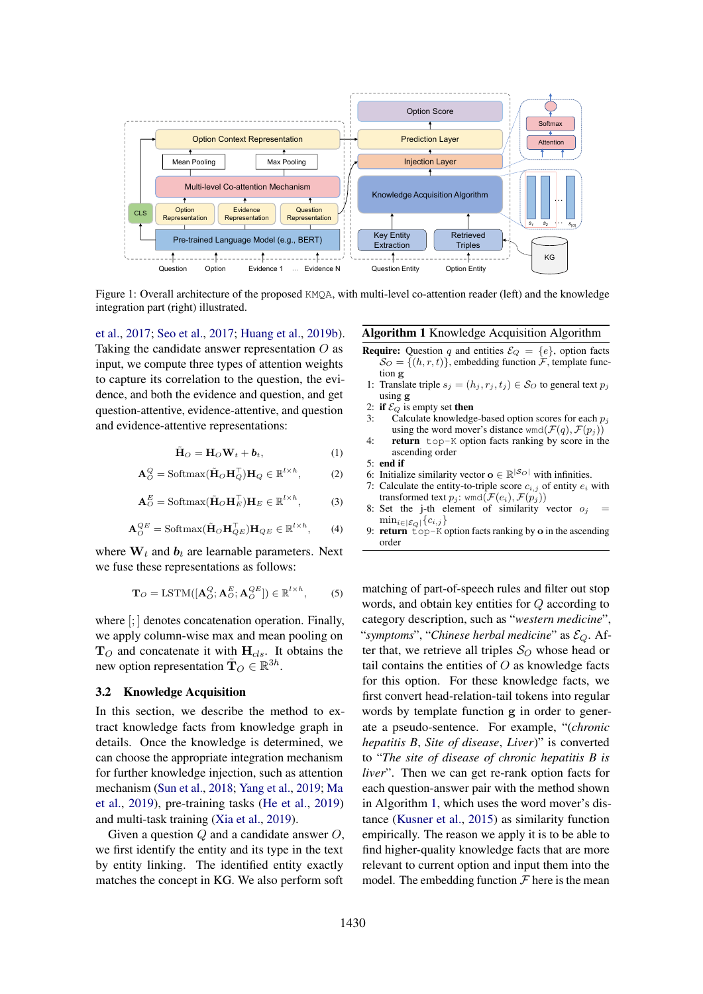

Figure 1: Overall architecture of the proposed KMQA, with multi-level co-attention reader (left) and the knowledge integration part (right) illustrated.

et al., 2017; Seo et al., 2017; Huang et al., 2019b). Taking the candidate answer representation *O* as input, we compute three types of attention weights to capture its correlation to the question, the evidence, and both the evidence and question, and get question-attentive, evidence-attentive, and question and evidence-attentive representations:

$$
\tilde{\mathbf{H}}_O = \mathbf{H}_O \mathbf{W}_t + \boldsymbol{b}_t, \tag{1}
$$

$$
\mathbf{A}_O^Q = \text{Softmax}(\tilde{\mathbf{H}}_O \mathbf{H}_Q^\top) \mathbf{H}_Q \in \mathbb{R}^{l \times h},\tag{2}
$$

$$
\mathbf{A}_O^E = \text{Softmax}(\tilde{\mathbf{H}}_O \mathbf{H}_E^\top) \mathbf{H}_E \in \mathbb{R}^{l \times h},\tag{3}
$$

$$
\mathbf{A}_{O}^{QE} = \text{Softmax}(\tilde{\mathbf{H}}_{O}\mathbf{H}_{QE}^{\top})\mathbf{H}_{QE} \in \mathbb{R}^{l \times h},\qquad(4)
$$

where  $W_t$  and  $b_t$  are learnable parameters. Next we fuse these representations as follows:

$$
\mathbf{T}_O = \text{LSTM}([\mathbf{A}_O^Q; \mathbf{A}_O^E; \mathbf{A}_O^{QE}]) \in \mathbb{R}^{l \times h},\tag{5}
$$

where  $\left[\cdot\right]$  denotes concatenation operation. Finally, we apply column-wise max and mean pooling on  $T_O$  and concatenate it with  $H_{cls}$ . It obtains the new option representation  $\tilde{\mathbf{T}}_O \in \mathbb{R}^{3h}$ .

#### 3.2 Knowledge Acquisition

In this section, we describe the method to extract knowledge facts from knowledge graph in details. Once the knowledge is determined, we can choose the appropriate integration mechanism for further knowledge injection, such as attention mechanism (Sun et al., 2018; Yang et al., 2019; Ma et al., 2019), pre-training tasks (He et al., 2019) and multi-task training (Xia et al., 2019).

Given a question *Q* and a candidate answer *O*, we first identify the entity and its type in the text by entity linking. The identified entity exactly matches the concept in KG. We also perform soft

## Algorithm 1 Knowledge Acquisition Algorithm

- **Require:** Question *q* and entities  $\mathcal{E}_Q = \{e\}$ , option facts  $S_O = \{(h, r, t)\}\$ , embedding function  $\mathcal{F}$ , template function g
- 1: Translate triple  $s_j = (h_j, r_j, t_j) \in S_O$  to general text  $p_j$ using g
- 2: if  $\mathcal{E}_Q$  is empty set **then**<br>3: Calculate knowledge
- Calculate knowledge-based option scores for each  $p_j$ using the word mover's distance wmd $(\mathcal{F}(q), \mathcal{F}(p_i))$
- 4: return top-K option facts ranking by score in the ascending order
- 5: end if
- 6: Initialize similarity vector  $\mathbf{o} \in \mathbb{R}^{|S_O|}$  with infinities.
- 7: Calculate the entity-to-triple score  $c_{i,j}$  of entity  $e_i$  with transformed text  $p_j$ : wmd $(\mathcal{F}(e_i), \mathcal{F}(p_j))$
- 8: Set the j-th element of similarity vector  $o_j =$  $\min_{i \in \mathcal{E}_Q}$  { $c_{i,j}$ }
- 9: return  $\text{top-K}$  option facts ranking by  $\text{o}$  in the ascending order

matching of part-of-speech rules and filter out stop words, and obtain key entities for *Q* according to category description, such as "*western medicine*", "*symptoms*", "*Chinese herbal medicine*" as *EQ*. After that, we retrieve all triples  $S_O$  whose head or tail contains the entities of *O* as knowledge facts for this option. For these knowledge facts, we first convert head-relation-tail tokens into regular words by template function g in order to generate a pseudo-sentence. For example, "(*chronic hepatitis B*, *Site of disease*, *Liver*)" is converted to "*The site of disease of chronic hepatitis B is liver*". Then we can get re-rank option facts for each question-answer pair with the method shown in Algorithm 1, which uses the word mover's distance (Kusner et al., 2015) as similarity function empirically. The reason we apply it is to be able to find higher-quality knowledge facts that are more relevant to current option and input them into the model. The embedding function  $\mathcal F$  here is the mean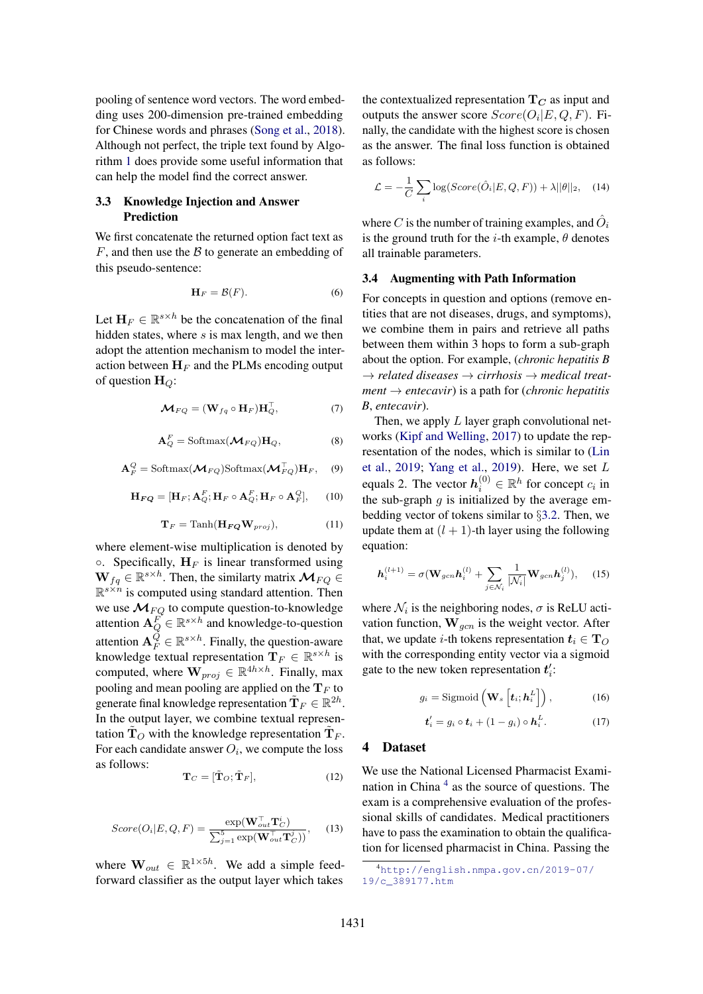pooling of sentence word vectors. The word embedding uses 200-dimension pre-trained embedding for Chinese words and phrases (Song et al., 2018). Although not perfect, the triple text found by Algorithm 1 does provide some useful information that can help the model find the correct answer.

## 3.3 Knowledge Injection and Answer Prediction

We first concatenate the returned option fact text as *F*, and then use the *B* to generate an embedding of this pseudo-sentence:

$$
\mathbf{H}_F = \mathcal{B}(F). \tag{6}
$$

Let  $\mathbf{H}_F \in \mathbb{R}^{s \times h}$  be the concatenation of the final hidden states, where *s* is max length, and we then adopt the attention mechanism to model the interaction between  $H_F$  and the PLMs encoding output of question H*Q*:

$$
\mathbf{\mathcal{M}}_{FQ} = (\mathbf{W}_{fq} \circ \mathbf{H}_F) \mathbf{H}_Q^\top, \tag{7}
$$

$$
\mathbf{A}_Q^F = \text{Softmax}(\mathbf{\mathcal{M}}_{FQ}) \mathbf{H}_Q, \tag{8}
$$

$$
\mathbf{A}_F^Q = \text{Softmax}(\mathbf{M}_{FQ}) \text{Softmax}(\mathbf{M}_{FQ}^\top) \mathbf{H}_F, \quad (9)
$$

$$
\mathbf{H}_{\boldsymbol{F}\boldsymbol{Q}} = [\mathbf{H}_{F}; \mathbf{A}_{Q}^{F}; \mathbf{H}_{F} \circ \mathbf{A}_{Q}^{F}; \mathbf{H}_{F} \circ \mathbf{A}_{F}^{Q}], \qquad (10)
$$

$$
\mathbf{T}_F = \text{Tanh}(\mathbf{H}_{\boldsymbol{FQ}}\mathbf{W}_{proj}),\tag{11}
$$

where element-wise multiplication is denoted by  $\circ$ . Specifically,  $H_F$  is linear transformed using  $\mathbf{W}_{fq} \in \mathbb{R}^{s \times h}$ . Then, the similarty matrix  $\mathcal{M}_{FO} \in$  $\mathbb{R}^{s \times n}$  is computed using standard attention. Then we use  $\mathcal{M}_{FQ}$  to compute question-to-knowledge attention  $\mathbf{A}_Q^F \in \mathbb{R}^{s \times h}$  and knowledge-to-question attention  $A_F^Q \in \mathbb{R}^{s \times h}$ . Finally, the question-aware knowledge textual representation  $\mathbf{T}_F \in \mathbb{R}^{s \times h}$  is computed, where  $\mathbf{W}_{proj} \in \mathbb{R}^{4h \times h}$ . Finally, max pooling and mean pooling are applied on the  $T_F$  to generate final knowledge representation  $\tilde{\mathbf{T}}_F \in \mathbb{R}^{2h}$ . In the output layer, we combine textual representation  $T_O$  with the knowledge representation  $T_F$ . For each candidate answer  $O_i$ , we compute the loss as follows:

$$
\mathbf{T}_C = [\tilde{\mathbf{T}}_O; \tilde{\mathbf{T}}_F],\tag{12}
$$

$$
Score(O_i|E,Q,F) = \frac{\exp(\mathbf{W}_{out}^{\top} \mathbf{T}_{C}^{i})}{\sum_{j=1}^{5} \exp(\mathbf{W}_{out}^{\top} \mathbf{T}_{C}^{j})},
$$
 (13)

where  $\mathbf{W}_{out} \in \mathbb{R}^{1 \times 5h}$ . We add a simple feedforward classifier as the output layer which takes the contextualized representation  $T_C$  as input and outputs the answer score  $Score(O_i|E, Q, F)$ . Finally, the candidate with the highest score is chosen as the answer. The final loss function is obtained as follows:

$$
\mathcal{L} = -\frac{1}{C} \sum_{i} \log(Score(\hat{O}_i|E, Q, F)) + \lambda ||\theta||_2, \quad (14)
$$

where *C* is the number of training examples, and  $\hat{O}_i$ is the ground truth for the *i*-th example,  $\theta$  denotes all trainable parameters.

#### 3.4 Augmenting with Path Information

For concepts in question and options (remove entities that are not diseases, drugs, and symptoms), we combine them in pairs and retrieve all paths between them within 3 hops to form a sub-graph about the option. For example, (*chronic hepatitis B*  $\rightarrow$  *related diseases*  $\rightarrow$  *cirrhosis*  $\rightarrow$  *medical treatment*  $\rightarrow$  *entecavir*) is a path for (*chronic hepatitis B*, *entecavir*).

Then, we apply *L* layer graph convolutional networks (Kipf and Welling, 2017) to update the representation of the nodes, which is similar to (Lin et al., 2019; Yang et al., 2019). Here, we set *L* equals 2. The vector  $h_i^{(0)} \in \mathbb{R}^h$  for concept  $c_i$  in the sub-graph  $q$  is initialized by the average embedding vector of tokens similar to *§*3.2. Then, we update them at  $(l + 1)$ -th layer using the following equation:

$$
\mathbf{h}_{i}^{(l+1)} = \sigma(\mathbf{W}_{gen}\mathbf{h}_{i}^{(l)} + \sum_{j \in \mathcal{N}_{i}} \frac{1}{|\mathcal{N}_{i}|} \mathbf{W}_{gen}\mathbf{h}_{j}^{(l)}), \quad (15)
$$

where  $\mathcal{N}_i$  is the neighboring nodes,  $\sigma$  is ReLU activation function, W*gcn* is the weight vector. After that, we update *i*-th tokens representation  $t_i \in T_O$ with the corresponding entity vector via a sigmoid gate to the new token representation  $t_i$ :

$$
g_i = \text{Sigmoid}\left(\mathbf{W}_s\left[\boldsymbol{t}_i;\boldsymbol{h}_i^L\right]\right),\tag{16}
$$

$$
\boldsymbol{t}'_i = g_i \circ \boldsymbol{t}_i + (1 - g_i) \circ \boldsymbol{h}_i^L. \tag{17}
$$

#### 4 Dataset

We use the National Licensed Pharmacist Examination in China  $4$  as the source of questions. The exam is a comprehensive evaluation of the professional skills of candidates. Medical practitioners have to pass the examination to obtain the qualification for licensed pharmacist in China. Passing the

<sup>4</sup> http://english.nmpa.gov.cn/2019-07/ 19/c\_389177.htm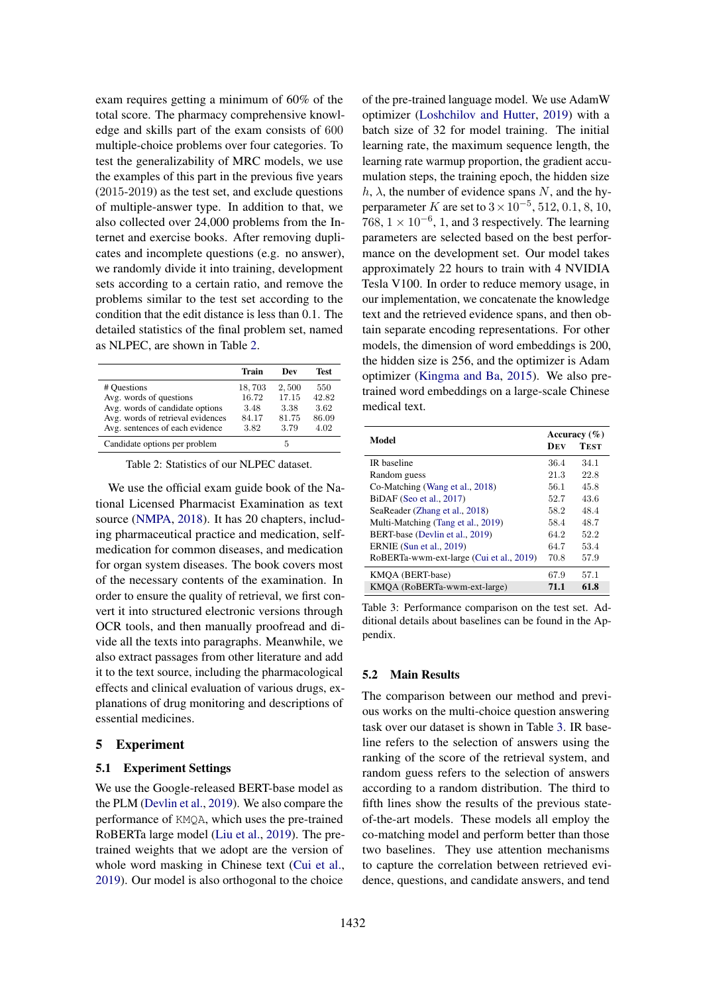exam requires getting a minimum of 60% of the total score. The pharmacy comprehensive knowledge and skills part of the exam consists of 600 multiple-choice problems over four categories. To test the generalizability of MRC models, we use the examples of this part in the previous five years (2015-2019) as the test set, and exclude questions of multiple-answer type. In addition to that, we also collected over 24,000 problems from the Internet and exercise books. After removing duplicates and incomplete questions (e.g. no answer), we randomly divide it into training, development sets according to a certain ratio, and remove the problems similar to the test set according to the condition that the edit distance is less than 0.1. The detailed statistics of the final problem set, named as NLPEC, are shown in Table 2.

|                                   | Train  | Dev   | Test  |
|-----------------------------------|--------|-------|-------|
| # Questions                       | 18,703 | 2,500 | 550   |
| Avg. words of questions           | 16.72  | 17.15 | 42.82 |
| Avg. words of candidate options   | 3.48   | 3.38  | 3.62  |
| Avg. words of retrieval evidences | 84.17  | 81.75 | 86.09 |
| Avg. sentences of each evidence   | 3.82   | 3.79  | 4.02  |
| Candidate options per problem     |        | 5     |       |

Table 2: Statistics of our NLPEC dataset.

We use the official exam guide book of the National Licensed Pharmacist Examination as text source (NMPA, 2018). It has 20 chapters, including pharmaceutical practice and medication, selfmedication for common diseases, and medication for organ system diseases. The book covers most of the necessary contents of the examination. In order to ensure the quality of retrieval, we first convert it into structured electronic versions through OCR tools, and then manually proofread and divide all the texts into paragraphs. Meanwhile, we also extract passages from other literature and add it to the text source, including the pharmacological effects and clinical evaluation of various drugs, explanations of drug monitoring and descriptions of essential medicines.

## 5 Experiment

## 5.1 Experiment Settings

We use the Google-released BERT-base model as the PLM (Devlin et al., 2019). We also compare the performance of KMQA, which uses the pre-trained RoBERTa large model (Liu et al., 2019). The pretrained weights that we adopt are the version of whole word masking in Chinese text (Cui et al., 2019). Our model is also orthogonal to the choice

of the pre-trained language model. We use AdamW optimizer (Loshchilov and Hutter, 2019) with a batch size of 32 for model training. The initial learning rate, the maximum sequence length, the learning rate warmup proportion, the gradient accumulation steps, the training epoch, the hidden size  $h, \lambda$ , the number of evidence spans N, and the hyperparameter *K* are set to  $3 \times 10^{-5}$ , 512, 0.1, 8, 10, 768,  $1 \times 10^{-6}$ , 1, and 3 respectively. The learning parameters are selected based on the best performance on the development set. Our model takes approximately 22 hours to train with 4 NVIDIA Tesla V100. In order to reduce memory usage, in our implementation, we concatenate the knowledge text and the retrieved evidence spans, and then obtain separate encoding representations. For other models, the dimension of word embeddings is 200, the hidden size is 256, and the optimizer is Adam optimizer (Kingma and Ba, 2015). We also pretrained word embeddings on a large-scale Chinese medical text.

|                                          |      | Accuracy $(\% )$ |  |
|------------------------------------------|------|------------------|--|
| Model                                    | DEV  | <b>TEST</b>      |  |
| IR baseline                              | 36.4 | 34.1             |  |
| Random guess                             | 21.3 | 22.8             |  |
| Co-Matching (Wang et al., 2018)          | 56.1 | 45.8             |  |
| BiDAF (Seo et al., 2017)                 | 52.7 | 43.6             |  |
| SeaReader (Zhang et al., 2018)           | 58.2 | 48.4             |  |
| Multi-Matching (Tang et al., 2019)       | 58.4 | 48.7             |  |
| BERT-base (Devlin et al., 2019)          | 64.2 | 52.2             |  |
| <b>ERNIE</b> (Sun et al., 2019)          | 64.7 | 53.4             |  |
| RoBERTa-wwm-ext-large (Cui et al., 2019) | 70.8 | 57.9             |  |
| KMOA (BERT-base)                         | 67.9 | 57.1             |  |
| KMOA (RoBERTa-wwm-ext-large)             | 71.1 | 61.8             |  |

Table 3: Performance comparison on the test set. Additional details about baselines can be found in the Appendix.

#### 5.2 Main Results

The comparison between our method and previous works on the multi-choice question answering task over our dataset is shown in Table 3. IR baseline refers to the selection of answers using the ranking of the score of the retrieval system, and random guess refers to the selection of answers according to a random distribution. The third to fifth lines show the results of the previous stateof-the-art models. These models all employ the co-matching model and perform better than those two baselines. They use attention mechanisms to capture the correlation between retrieved evidence, questions, and candidate answers, and tend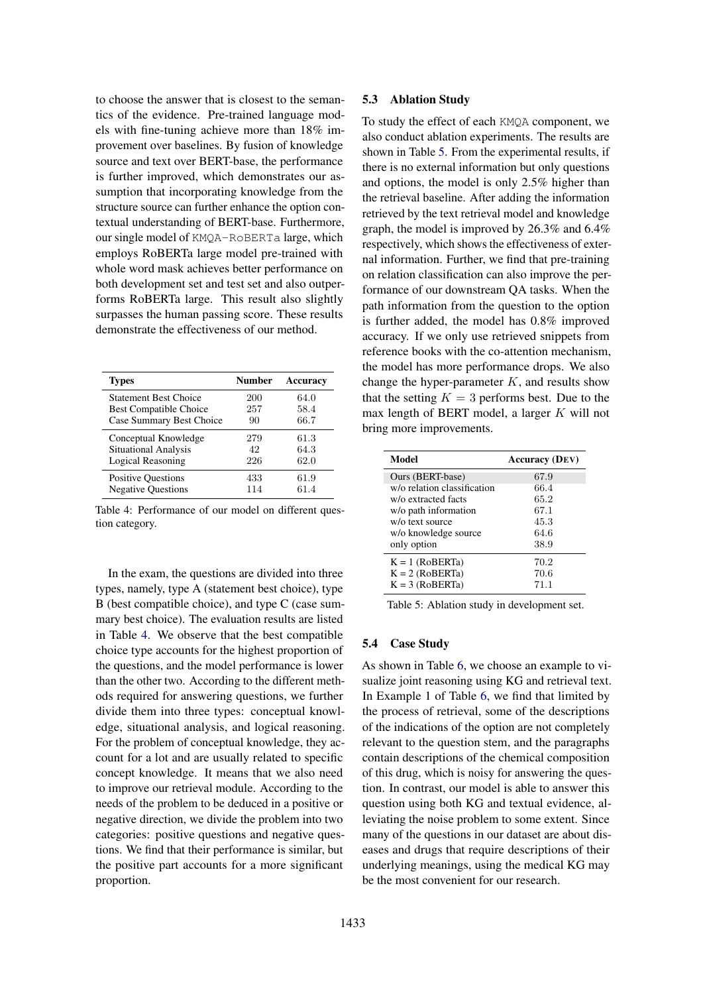to choose the answer that is closest to the semantics of the evidence. Pre-trained language models with fine-tuning achieve more than 18% improvement over baselines. By fusion of knowledge source and text over BERT-base, the performance is further improved, which demonstrates our assumption that incorporating knowledge from the structure source can further enhance the option contextual understanding of BERT-base. Furthermore, our single model of KMQA-RoBERTa large, which employs RoBERTa large model pre-trained with whole word mask achieves better performance on both development set and test set and also outperforms RoBERTa large. This result also slightly surpasses the human passing score. These results demonstrate the effectiveness of our method.

| <b>Types</b>                  | Number | Accuracv |
|-------------------------------|--------|----------|
| <b>Statement Best Choice</b>  | 200    | 64.0     |
| <b>Best Compatible Choice</b> | 257    | 58.4     |
| Case Summary Best Choice      | 90     | 66.7     |
| Conceptual Knowledge          | 279    | 61.3     |
| <b>Situational Analysis</b>   | 42     | 64.3     |
| Logical Reasoning             | 226    | 62.0     |
| <b>Positive Questions</b>     | 433    | 61.9     |
| <b>Negative Questions</b>     | 114    | 61.4     |

Table 4: Performance of our model on different question category.

In the exam, the questions are divided into three types, namely, type A (statement best choice), type B (best compatible choice), and type C (case summary best choice). The evaluation results are listed in Table 4. We observe that the best compatible choice type accounts for the highest proportion of the questions, and the model performance is lower than the other two. According to the different methods required for answering questions, we further divide them into three types: conceptual knowledge, situational analysis, and logical reasoning. For the problem of conceptual knowledge, they account for a lot and are usually related to specific concept knowledge. It means that we also need to improve our retrieval module. According to the needs of the problem to be deduced in a positive or negative direction, we divide the problem into two categories: positive questions and negative questions. We find that their performance is similar, but the positive part accounts for a more significant proportion.

#### 5.3 Ablation Study

To study the effect of each KMQA component, we also conduct ablation experiments. The results are shown in Table 5. From the experimental results, if there is no external information but only questions and options, the model is only 2.5% higher than the retrieval baseline. After adding the information retrieved by the text retrieval model and knowledge graph, the model is improved by 26.3% and 6.4% respectively, which shows the effectiveness of external information. Further, we find that pre-training on relation classification can also improve the performance of our downstream QA tasks. When the path information from the question to the option is further added, the model has 0.8% improved accuracy. If we only use retrieved snippets from reference books with the co-attention mechanism, the model has more performance drops. We also change the hyper-parameter *K*, and results show that the setting  $K = 3$  performs best. Due to the max length of BERT model, a larger *K* will not bring more improvements.

| Model                       | <b>Accuracy</b> (DEV) |
|-----------------------------|-----------------------|
| Ours (BERT-base)            | 67.9                  |
| w/o relation classification | 66.4                  |
| w/o extracted facts         | 65.2                  |
| w/o path information        | 67.1                  |
| w/o text source             | 45.3                  |
| w/o knowledge source        | 64.6                  |
| only option                 | 38.9                  |
| $K = 1$ (RoBERTa)           | 70.2                  |
| $K = 2 (ROBERTa)$           | 70.6                  |
| $K = 3 (ROBERTa)$           | 71.1                  |

Table 5: Ablation study in development set.

#### 5.4 Case Study

As shown in Table 6, we choose an example to visualize joint reasoning using KG and retrieval text. In Example 1 of Table 6, we find that limited by the process of retrieval, some of the descriptions of the indications of the option are not completely relevant to the question stem, and the paragraphs contain descriptions of the chemical composition of this drug, which is noisy for answering the question. In contrast, our model is able to answer this question using both KG and textual evidence, alleviating the noise problem to some extent. Since many of the questions in our dataset are about diseases and drugs that require descriptions of their underlying meanings, using the medical KG may be the most convenient for our research.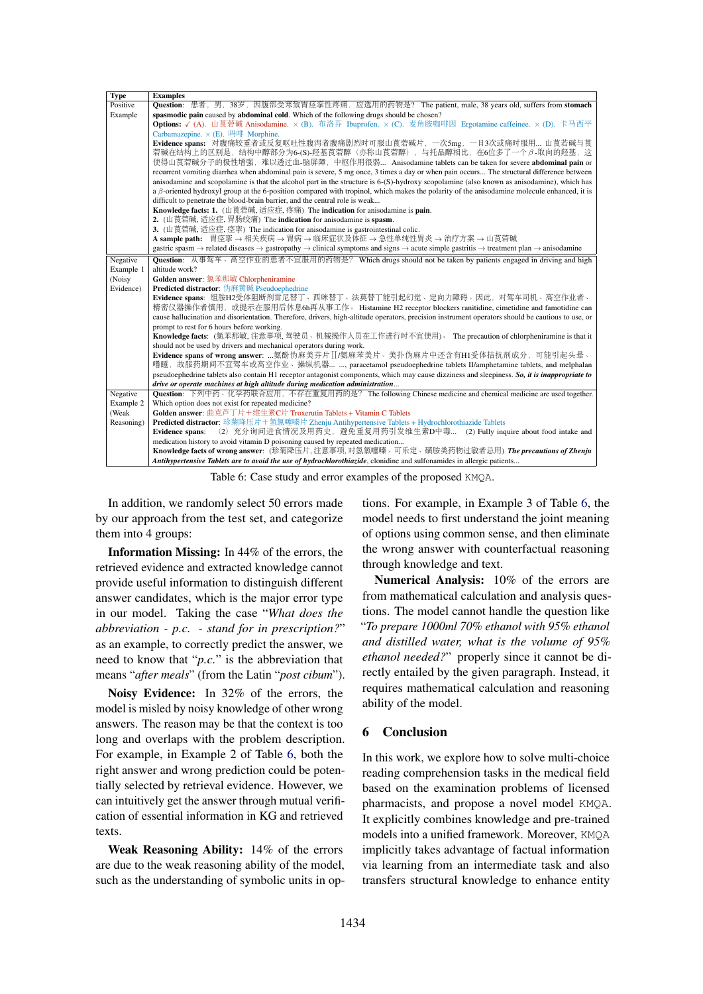| <b>Type</b> | <b>Examples</b>                                                                                                                                                                                              |  |  |  |
|-------------|--------------------------------------------------------------------------------------------------------------------------------------------------------------------------------------------------------------|--|--|--|
| Positive    | <b>Question</b> : 患者, 男, 38岁, 因腹部受寒致胃痉挛性疼痛, 应选用的药物是? The patient, male, 38 years old, suffers from stomach                                                                                                   |  |  |  |
| Example     | spasmodic pain caused by abdominal cold. Which of the following drugs should be chosen?                                                                                                                      |  |  |  |
|             | Options: √ (A). 山莨菪碱 Anisodamine. × (B). 布洛芬 Ibuprofen. × (C). 麦角胺咖啡因 Ergotamine caffeinee. × (D). 卡马西平                                                                                                      |  |  |  |
|             | Carbamazepine. $\times$ (E). 吗啡 Morphine.                                                                                                                                                                    |  |  |  |
|             | Evidence spans: 对腹痛较重者或反复呕吐性腹泻者腹痛剧烈时可服山莨菪碱片, 一次5mg, 一日3次或痛时服用 山莨若碱与莨                                                                                                                                         |  |  |  |
|             | 菪碱在结构上的区别是, 结构中醇部分为6-(S)-羟基莨菪醇 (亦称山莨菪醇) , 与托品醇相比, 在6位多了一个β-取向的羟基, 这                                                                                                                                          |  |  |  |
|             | 使得山莨菪碱分子的极性增强, 难以透过血-脑屏障, 中枢作用很弱 Anisodamine tablets can be taken for severe abdominal pain or                                                                                                               |  |  |  |
|             | recurrent vomiting diarrhea when abdominal pain is severe, 5 mg once, 3 times a day or when pain occurs The structural difference between                                                                    |  |  |  |
|             | anisodamine and scopolamine is that the alcohol part in the structure is 6-(S)-hydroxy scopolamine (also known as anisodamine), which has                                                                    |  |  |  |
|             | a $\beta$ -oriented hydroxyl group at the 6-position compared with tropinol, which makes the polarity of the anisodamine molecule enhanced, it is                                                            |  |  |  |
|             | difficult to penetrate the blood-brain barrier, and the central role is weak                                                                                                                                 |  |  |  |
|             | Knowledge facts: 1. (山莨菪碱, 适应症, 疼痛) The indication for anisodamine is pain.                                                                                                                                  |  |  |  |
|             | 2. (山莨菪碱, 适应症, 胃肠绞痛) The indication for anisodamine is spasm.                                                                                                                                                |  |  |  |
|             | 3. (山莨菪碱, 适应症, 痉挛) The indication for anisodamine is gastrointestinal colic.                                                                                                                                 |  |  |  |
|             | A sample path: 胃痉挛 → 相关疾病 → 胃病 → 临床症状及体征 → 急性单纯性胃炎 → 治疗方案 → 山莨菪碱                                                                                                                                             |  |  |  |
|             | gastric spasm $\rightarrow$ related diseases $\rightarrow$ gastropathy $\rightarrow$ clinical symptoms and signs $\rightarrow$ acute simple gastritis $\rightarrow$ treatment plan $\rightarrow$ anisodamine |  |  |  |
| Negative    | Question: 从事驾车、高空作业的患者不宜服用的药物是? Which drugs should not be taken by patients engaged in driving and high                                                                                                      |  |  |  |
| Example 1   | altitude work?                                                                                                                                                                                               |  |  |  |
| (Noisy      | Golden answer: 氯苯那敏 Chlorpheniramine                                                                                                                                                                         |  |  |  |
| Evidence)   | Predicted distractor: 伪麻黄碱 Pseudoephedrine                                                                                                                                                                   |  |  |  |
|             | Evidence spans: 组胺H2受体阻断剂雷尼替丁、西咪替丁、法莫替丁能引起幻觉、定向力障碍。因此、对驾车司机、高空作业者、                                                                                                                                           |  |  |  |
|             | 精密仪器操作者慎用,或提示在服用后休息6h再从事工作。 Histamine H2 receptor blockers ranitidine, cimetidine and famotidine can                                                                                                         |  |  |  |
|             | cause hallucination and disorientation. Therefore, drivers, high-altitude operators, precision instrument operators should be cautious to use, or                                                            |  |  |  |
|             | prompt to rest for 6 hours before working.                                                                                                                                                                   |  |  |  |
|             | Knowledge facts: (氯苯那敏,注意事项, 驾驶员、机械操作人员在工作进行时不宜使用)。 The precaution of chlorpheniramine is that it                                                                                                            |  |  |  |
|             | should not be used by drivers and mechanical operators during work.                                                                                                                                          |  |  |  |
|             | Evidence spans of wrong answer: 氨酚伪麻美芬片II/氨麻苯美片、美扑伪麻片中还含有H1受体拮抗剂成分, 可能引起头晕、                                                                                                                                  |  |  |  |
|             | 嗜睡, 故服药期间不宜驾车或高空作业、操纵机器 , paracetamol pseudoephedrine tablets II/amphetamine tablets, and melphalan                                                                                                          |  |  |  |
|             | pseudoephedrine tablets also contain H1 receptor antagonist components, which may cause dizziness and sleepiness. So, it is inappropriate to                                                                 |  |  |  |
|             | drive or operate machines at high altitude during medication administration                                                                                                                                  |  |  |  |
| Negative    | Question: 下列中药、化学药联合应用, 不存在重复用药的是? The following Chinese medicine and chemical medicine are used together.                                                                                                   |  |  |  |
| Example 2   | Which option does not exist for repeated medicine?                                                                                                                                                           |  |  |  |
| (Weak       | Golden answer: 曲克芦丁片+维生素C片 Troxerutin Tablets + Vitamin C Tablets                                                                                                                                            |  |  |  |
| Reasoning)  | Predicted distractor: 珍菊降压片+氢氯噻嗪片 Zhenju Antihypertensive Tablets + Hydrochlorothiazide Tablets                                                                                                              |  |  |  |
|             | (2) 充分询问进食情况及用药史, 避免重复用药引发维生素D中毒 (2) Fully inquire about food intake and<br>Evidence spans:                                                                                                                  |  |  |  |
|             | medication history to avoid vitamin D poisoning caused by repeated medication                                                                                                                                |  |  |  |
|             | Knowledge facts of wrong answer: (珍菊降压片, 注意事项, 对氢氯噻嗪、可乐定、磺胺类药物过敏者忌用) The precautions of Zhenju                                                                                                               |  |  |  |
|             | Antihypertensive Tablets are to avoid the use of hydrochlorothiazide, clonidine and sulfonamides in allergic patients                                                                                        |  |  |  |

Table 6: Case study and error examples of the proposed KMQA.

In addition, we randomly select 50 errors made by our approach from the test set, and categorize them into 4 groups:

Information Missing: In 44% of the errors, the retrieved evidence and extracted knowledge cannot provide useful information to distinguish different answer candidates, which is the major error type in our model. Taking the case "*What does the abbreviation - p.c. - stand for in prescription?*" as an example, to correctly predict the answer, we need to know that "*p.c.*" is the abbreviation that means "*after meals*" (from the Latin "*post cibum*").

Noisy Evidence: In 32% of the errors, the model is misled by noisy knowledge of other wrong answers. The reason may be that the context is too long and overlaps with the problem description. For example, in Example 2 of Table 6, both the right answer and wrong prediction could be potentially selected by retrieval evidence. However, we can intuitively get the answer through mutual verification of essential information in KG and retrieved texts.

Weak Reasoning Ability: 14% of the errors are due to the weak reasoning ability of the model, such as the understanding of symbolic units in options. For example, in Example 3 of Table 6, the model needs to first understand the joint meaning of options using common sense, and then eliminate the wrong answer with counterfactual reasoning through knowledge and text.

Numerical Analysis: 10% of the errors are from mathematical calculation and analysis questions. The model cannot handle the question like "*To prepare 1000ml 70% ethanol with 95% ethanol and distilled water, what is the volume of 95% ethanol needed?*" properly since it cannot be directly entailed by the given paragraph. Instead, it requires mathematical calculation and reasoning ability of the model.

## 6 Conclusion

In this work, we explore how to solve multi-choice reading comprehension tasks in the medical field based on the examination problems of licensed pharmacists, and propose a novel model KMQA. It explicitly combines knowledge and pre-trained models into a unified framework. Moreover, KMQA implicitly takes advantage of factual information via learning from an intermediate task and also transfers structural knowledge to enhance entity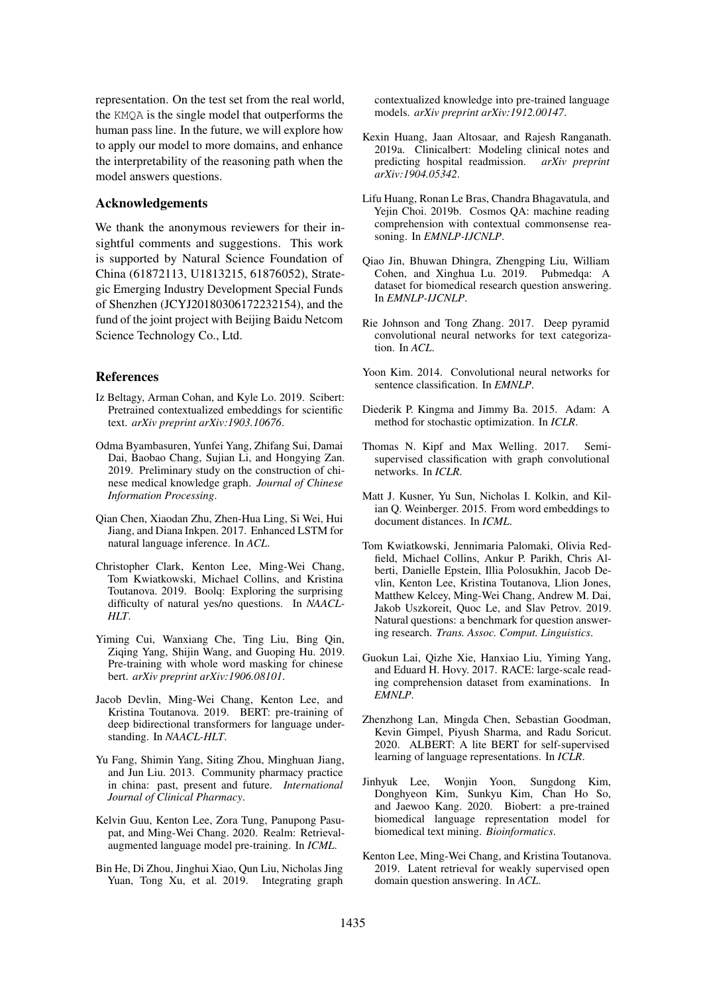representation. On the test set from the real world, the KMQA is the single model that outperforms the human pass line. In the future, we will explore how to apply our model to more domains, and enhance the interpretability of the reasoning path when the model answers questions.

#### Acknowledgements

We thank the anonymous reviewers for their insightful comments and suggestions. This work is supported by Natural Science Foundation of China (61872113, U1813215, 61876052), Strategic Emerging Industry Development Special Funds of Shenzhen (JCYJ20180306172232154), and the fund of the joint project with Beijing Baidu Netcom Science Technology Co., Ltd.

#### References

- Iz Beltagy, Arman Cohan, and Kyle Lo. 2019. Scibert: Pretrained contextualized embeddings for scientific text. *arXiv preprint arXiv:1903.10676*.
- Odma Byambasuren, Yunfei Yang, Zhifang Sui, Damai Dai, Baobao Chang, Sujian Li, and Hongying Zan. 2019. Preliminary study on the construction of chinese medical knowledge graph. *Journal of Chinese Information Processing*.
- Qian Chen, Xiaodan Zhu, Zhen-Hua Ling, Si Wei, Hui Jiang, and Diana Inkpen. 2017. Enhanced LSTM for natural language inference. In *ACL*.
- Christopher Clark, Kenton Lee, Ming-Wei Chang, Tom Kwiatkowski, Michael Collins, and Kristina Toutanova. 2019. Boolq: Exploring the surprising difficulty of natural yes/no questions. In *NAACL-HLT*.
- Yiming Cui, Wanxiang Che, Ting Liu, Bing Qin, Ziqing Yang, Shijin Wang, and Guoping Hu. 2019. Pre-training with whole word masking for chinese bert. *arXiv preprint arXiv:1906.08101*.
- Jacob Devlin, Ming-Wei Chang, Kenton Lee, and Kristina Toutanova. 2019. BERT: pre-training of deep bidirectional transformers for language understanding. In *NAACL-HLT*.
- Yu Fang, Shimin Yang, Siting Zhou, Minghuan Jiang, and Jun Liu. 2013. Community pharmacy practice in china: past, present and future. *International Journal of Clinical Pharmacy*.
- Kelvin Guu, Kenton Lee, Zora Tung, Panupong Pasupat, and Ming-Wei Chang. 2020. Realm: Retrievalaugmented language model pre-training. In *ICML*.
- Bin He, Di Zhou, Jinghui Xiao, Qun Liu, Nicholas Jing Yuan, Tong Xu, et al. 2019. Integrating graph

contextualized knowledge into pre-trained language models. *arXiv preprint arXiv:1912.00147*.

- Kexin Huang, Jaan Altosaar, and Rajesh Ranganath. 2019a. Clinicalbert: Modeling clinical notes and predicting hospital readmission. *arXiv preprint arXiv:1904.05342*.
- Lifu Huang, Ronan Le Bras, Chandra Bhagavatula, and Yejin Choi. 2019b. Cosmos QA: machine reading comprehension with contextual commonsense reasoning. In *EMNLP-IJCNLP*.
- Qiao Jin, Bhuwan Dhingra, Zhengping Liu, William Cohen, and Xinghua Lu. 2019. Pubmedqa: A dataset for biomedical research question answering. In *EMNLP-IJCNLP*.
- Rie Johnson and Tong Zhang. 2017. Deep pyramid convolutional neural networks for text categorization. In *ACL*.
- Yoon Kim. 2014. Convolutional neural networks for sentence classification. In *EMNLP*.
- Diederik P. Kingma and Jimmy Ba. 2015. Adam: A method for stochastic optimization. In *ICLR*.
- Thomas N. Kipf and Max Welling. 2017. Semisupervised classification with graph convolutional networks. In *ICLR*.
- Matt J. Kusner, Yu Sun, Nicholas I. Kolkin, and Kilian Q. Weinberger. 2015. From word embeddings to document distances. In *ICML*.
- Tom Kwiatkowski, Jennimaria Palomaki, Olivia Redfield, Michael Collins, Ankur P. Parikh, Chris Alberti, Danielle Epstein, Illia Polosukhin, Jacob Devlin, Kenton Lee, Kristina Toutanova, Llion Jones, Matthew Kelcey, Ming-Wei Chang, Andrew M. Dai, Jakob Uszkoreit, Quoc Le, and Slav Petrov. 2019. Natural questions: a benchmark for question answering research. *Trans. Assoc. Comput. Linguistics*.
- Guokun Lai, Qizhe Xie, Hanxiao Liu, Yiming Yang, and Eduard H. Hovy. 2017. RACE: large-scale reading comprehension dataset from examinations. In *EMNLP*.
- Zhenzhong Lan, Mingda Chen, Sebastian Goodman, Kevin Gimpel, Piyush Sharma, and Radu Soricut. 2020. ALBERT: A lite BERT for self-supervised learning of language representations. In *ICLR*.
- Jinhyuk Lee, Wonjin Yoon, Sungdong Kim, Donghyeon Kim, Sunkyu Kim, Chan Ho So, and Jaewoo Kang. 2020. Biobert: a pre-trained biomedical language representation model for biomedical text mining. *Bioinformatics*.
- Kenton Lee, Ming-Wei Chang, and Kristina Toutanova. 2019. Latent retrieval for weakly supervised open domain question answering. In *ACL*.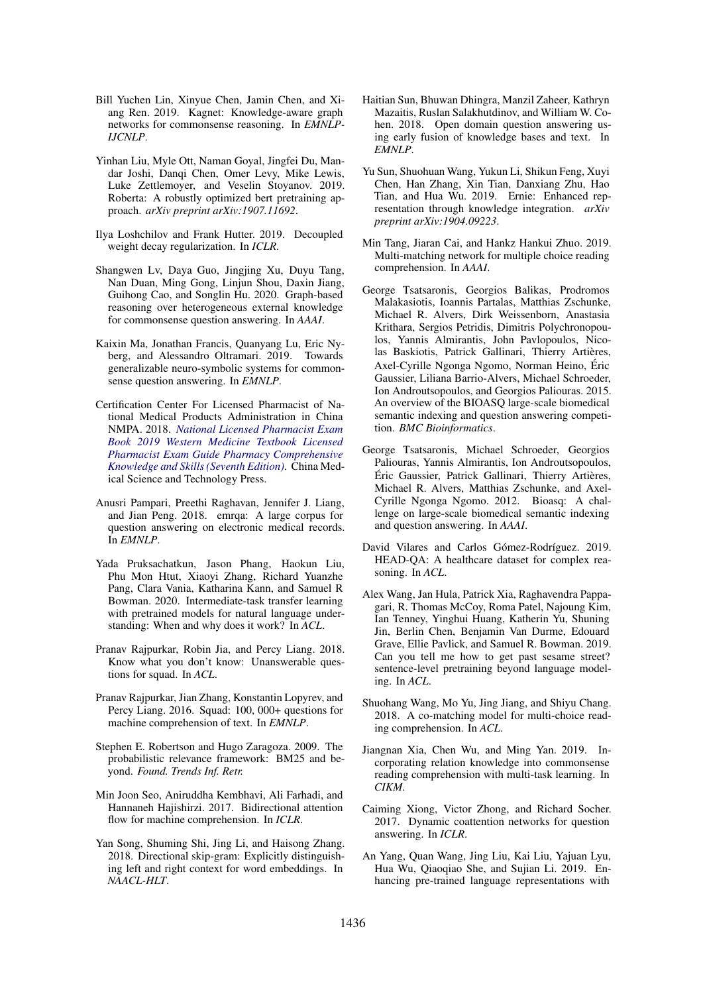- Bill Yuchen Lin, Xinyue Chen, Jamin Chen, and Xiang Ren. 2019. Kagnet: Knowledge-aware graph networks for commonsense reasoning. In *EMNLP-IJCNLP*.
- Yinhan Liu, Myle Ott, Naman Goyal, Jingfei Du, Mandar Joshi, Danqi Chen, Omer Levy, Mike Lewis, Luke Zettlemoyer, and Veselin Stoyanov. 2019. Roberta: A robustly optimized bert pretraining approach. *arXiv preprint arXiv:1907.11692*.
- Ilya Loshchilov and Frank Hutter. 2019. Decoupled weight decay regularization. In *ICLR*.
- Shangwen Lv, Daya Guo, Jingjing Xu, Duyu Tang, Nan Duan, Ming Gong, Linjun Shou, Daxin Jiang, Guihong Cao, and Songlin Hu. 2020. Graph-based reasoning over heterogeneous external knowledge for commonsense question answering. In *AAAI*.
- Kaixin Ma, Jonathan Francis, Quanyang Lu, Eric Nyberg, and Alessandro Oltramari. 2019. Towards generalizable neuro-symbolic systems for commonsense question answering. In *EMNLP*.
- Certification Center For Licensed Pharmacist of National Medical Products Administration in China NMPA. 2018. *National Licensed Pharmacist Exam Book 2019 Western Medicine Textbook Licensed Pharmacist Exam Guide Pharmacy Comprehensive Knowledge and Skills (Seventh Edition)*. China Medical Science and Technology Press.
- Anusri Pampari, Preethi Raghavan, Jennifer J. Liang, and Jian Peng. 2018. emrqa: A large corpus for question answering on electronic medical records. In *EMNLP*.
- Yada Pruksachatkun, Jason Phang, Haokun Liu, Phu Mon Htut, Xiaoyi Zhang, Richard Yuanzhe Pang, Clara Vania, Katharina Kann, and Samuel R Bowman. 2020. Intermediate-task transfer learning with pretrained models for natural language understanding: When and why does it work? In *ACL*.
- Pranav Rajpurkar, Robin Jia, and Percy Liang. 2018. Know what you don't know: Unanswerable questions for squad. In *ACL*.
- Pranav Rajpurkar, Jian Zhang, Konstantin Lopyrev, and Percy Liang. 2016. Squad: 100, 000+ questions for machine comprehension of text. In *EMNLP*.
- Stephen E. Robertson and Hugo Zaragoza. 2009. The probabilistic relevance framework: BM25 and beyond. *Found. Trends Inf. Retr.*
- Min Joon Seo, Aniruddha Kembhavi, Ali Farhadi, and Hannaneh Hajishirzi. 2017. Bidirectional attention flow for machine comprehension. In *ICLR*.
- Yan Song, Shuming Shi, Jing Li, and Haisong Zhang. 2018. Directional skip-gram: Explicitly distinguishing left and right context for word embeddings. In *NAACL-HLT*.
- Haitian Sun, Bhuwan Dhingra, Manzil Zaheer, Kathryn Mazaitis, Ruslan Salakhutdinov, and William W. Cohen. 2018. Open domain question answering using early fusion of knowledge bases and text. In *EMNLP*.
- Yu Sun, Shuohuan Wang, Yukun Li, Shikun Feng, Xuyi Chen, Han Zhang, Xin Tian, Danxiang Zhu, Hao Tian, and Hua Wu. 2019. Ernie: Enhanced representation through knowledge integration. *arXiv preprint arXiv:1904.09223*.
- Min Tang, Jiaran Cai, and Hankz Hankui Zhuo. 2019. Multi-matching network for multiple choice reading comprehension. In *AAAI*.
- George Tsatsaronis, Georgios Balikas, Prodromos Malakasiotis, Ioannis Partalas, Matthias Zschunke, Michael R. Alvers, Dirk Weissenborn, Anastasia Krithara, Sergios Petridis, Dimitris Polychronopoulos, Yannis Almirantis, John Pavlopoulos, Nicolas Baskiotis, Patrick Gallinari, Thierry Artières, Axel-Cyrille Ngonga Ngomo, Norman Heino, Eric ´ Gaussier, Liliana Barrio-Alvers, Michael Schroeder, Ion Androutsopoulos, and Georgios Paliouras. 2015. An overview of the BIOASQ large-scale biomedical semantic indexing and question answering competition. *BMC Bioinformatics*.
- George Tsatsaronis, Michael Schroeder, Georgios Paliouras, Yannis Almirantis, Ion Androutsopoulos, Éric Gaussier, Patrick Gallinari, Thierry Artières, Michael R. Alvers, Matthias Zschunke, and Axel-Cyrille Ngonga Ngomo. 2012. Bioasq: A challenge on large-scale biomedical semantic indexing and question answering. In *AAAI*.
- David Vilares and Carlos Gómez-Rodríguez. 2019. HEAD-QA: A healthcare dataset for complex reasoning. In *ACL*.
- Alex Wang, Jan Hula, Patrick Xia, Raghavendra Pappagari, R. Thomas McCoy, Roma Patel, Najoung Kim, Ian Tenney, Yinghui Huang, Katherin Yu, Shuning Jin, Berlin Chen, Benjamin Van Durme, Edouard Grave, Ellie Pavlick, and Samuel R. Bowman. 2019. Can you tell me how to get past sesame street? sentence-level pretraining beyond language modeling. In *ACL*.
- Shuohang Wang, Mo Yu, Jing Jiang, and Shiyu Chang. 2018. A co-matching model for multi-choice reading comprehension. In *ACL*.
- Jiangnan Xia, Chen Wu, and Ming Yan. 2019. Incorporating relation knowledge into commonsense reading comprehension with multi-task learning. In *CIKM*.
- Caiming Xiong, Victor Zhong, and Richard Socher. 2017. Dynamic coattention networks for question answering. In *ICLR*.
- An Yang, Quan Wang, Jing Liu, Kai Liu, Yajuan Lyu, Hua Wu, Qiaoqiao She, and Sujian Li. 2019. Enhancing pre-trained language representations with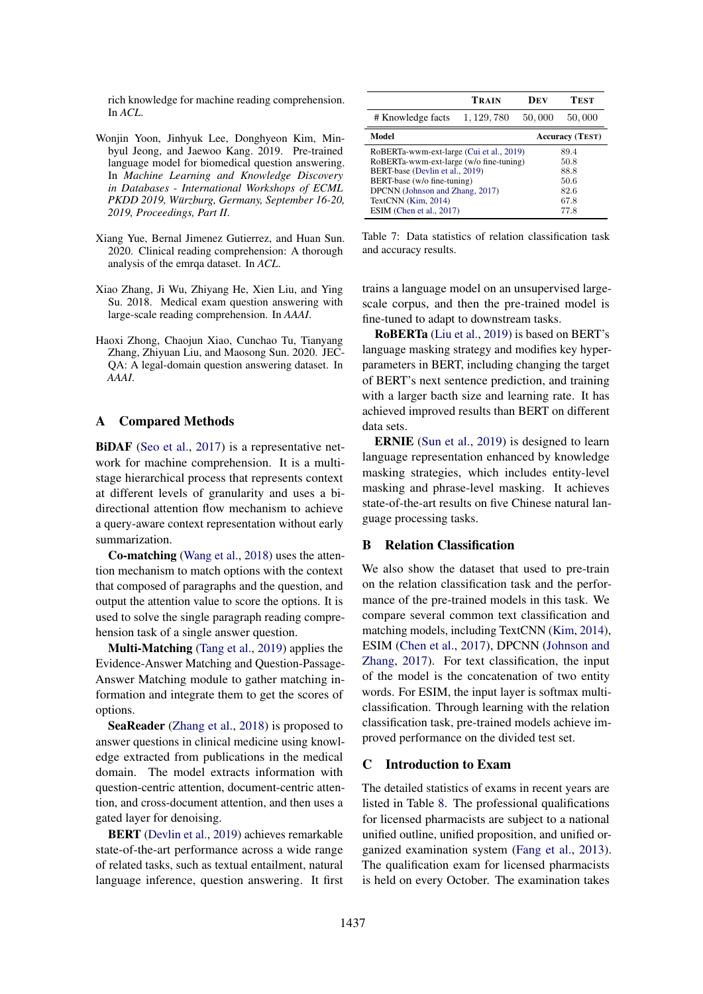rich knowledge for machine reading comprehension. In *ACL*.

- Wonjin Yoon, Jinhyuk Lee, Donghyeon Kim, Minbyul Jeong, and Jaewoo Kang. 2019. Pre-trained language model for biomedical question answering. In *Machine Learning and Knowledge Discovery in Databases - International Workshops of ECML PKDD 2019, Wurzburg, Germany, September 16-20, ¨ 2019, Proceedings, Part II*.
- Xiang Yue, Bernal Jimenez Gutierrez, and Huan Sun. 2020. Clinical reading comprehension: A thorough analysis of the emrqa dataset. In *ACL*.
- Xiao Zhang, Ji Wu, Zhiyang He, Xien Liu, and Ying Su. 2018. Medical exam question answering with large-scale reading comprehension. In *AAAI*.
- Haoxi Zhong, Chaojun Xiao, Cunchao Tu, Tianyang Zhang, Zhiyuan Liu, and Maosong Sun. 2020. JEC-QA: A legal-domain question answering dataset. In *AAAI*.

#### A Compared Methods

BiDAF (Seo et al., 2017) is a representative network for machine comprehension. It is a multistage hierarchical process that represents context at different levels of granularity and uses a bidirectional attention flow mechanism to achieve a query-aware context representation without early summarization.

Co-matching (Wang et al., 2018) uses the attention mechanism to match options with the context that composed of paragraphs and the question, and output the attention value to score the options. It is used to solve the single paragraph reading comprehension task of a single answer question.

Multi-Matching (Tang et al., 2019) applies the Evidence-Answer Matching and Question-Passage-Answer Matching module to gather matching information and integrate them to get the scores of options.

SeaReader (Zhang et al., 2018) is proposed to answer questions in clinical medicine using knowledge extracted from publications in the medical domain. The model extracts information with question-centric attention, document-centric attention, and cross-document attention, and then uses a gated layer for denoising.

BERT (Devlin et al., 2019) achieves remarkable state-of-the-art performance across a wide range of related tasks, such as textual entailment, natural language inference, question answering. It first

|                                          | TRAIN       | Dev    | TEST                   |
|------------------------------------------|-------------|--------|------------------------|
| # Knowledge facts                        | 1, 129, 780 | 50,000 | 50,000                 |
| Model                                    |             |        | <b>Accuracy (TEST)</b> |
| RoBERTa-wwm-ext-large (Cui et al., 2019) |             |        | 89.4                   |
| RoBERTa-wwm-ext-large (w/o fine-tuning)  |             |        | 50.8                   |
| BERT-base (Devlin et al., 2019)          |             |        | 88.8                   |
| BERT-base (w/o fine-tuning)              |             |        | 50.6                   |
| DPCNN (Johnson and Zhang, 2017)          |             |        | 82.6                   |
| TextCNN (Kim, 2014)                      |             |        | 67.8                   |
| ESIM (Chen et al., 2017)                 |             |        | 77.8                   |

Table 7: Data statistics of relation classification task and accuracy results.

trains a language model on an unsupervised largescale corpus, and then the pre-trained model is fine-tuned to adapt to downstream tasks.

RoBERTa (Liu et al., 2019) is based on BERT's language masking strategy and modifies key hyperparameters in BERT, including changing the target of BERT's next sentence prediction, and training with a larger bacth size and learning rate. It has achieved improved results than BERT on different data sets.

ERNIE (Sun et al., 2019) is designed to learn language representation enhanced by knowledge masking strategies, which includes entity-level masking and phrase-level masking. It achieves state-of-the-art results on five Chinese natural language processing tasks.

## B Relation Classification

We also show the dataset that used to pre-train on the relation classification task and the performance of the pre-trained models in this task. We compare several common text classification and matching models, including TextCNN (Kim, 2014), ESIM (Chen et al., 2017), DPCNN (Johnson and Zhang, 2017). For text classification, the input of the model is the concatenation of two entity words. For ESIM, the input layer is softmax multiclassification. Through learning with the relation classification task, pre-trained models achieve improved performance on the divided test set.

#### C Introduction to Exam

The detailed statistics of exams in recent years are listed in Table 8. The professional qualifications for licensed pharmacists are subject to a national unified outline, unified proposition, and unified organized examination system (Fang et al., 2013). The qualification exam for licensed pharmacists is held on every October. The examination takes